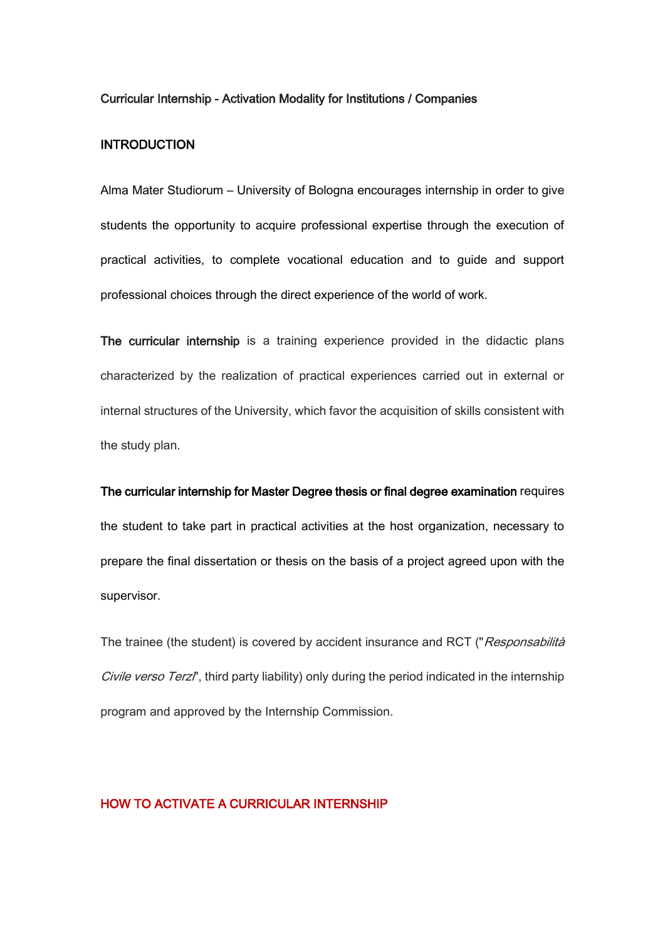#### Curricular Internship - Activation Modality for Institutions / Companies

### **INTRODUCTION**

Alma Mater Studiorum – University of Bologna encourages internship in order to give students the opportunity to acquire professional expertise through the execution of practical activities, to complete vocational education and to guide and support professional choices through the direct experience of the world of work.

The curricular internship is a training experience provided in the didactic plans characterized by the realization of practical experiences carried out in external or internal structures of the University, which favor the acquisition of skills consistent with the study plan.

The curricular internship for Master Degree thesis or final degree examination requires the student to take part in practical activities at the host organization, necessary to prepare the final dissertation or thesis on the basis of a project agreed upon with the supervisor.

The trainee (the student) is covered by accident insurance and RCT ("Responsabilità Civile verso Terzl', third party liability) only during the period indicated in the internship program and approved by the Internship Commission.

### HOW TO ACTIVATE A CURRICULAR INTERNSHIP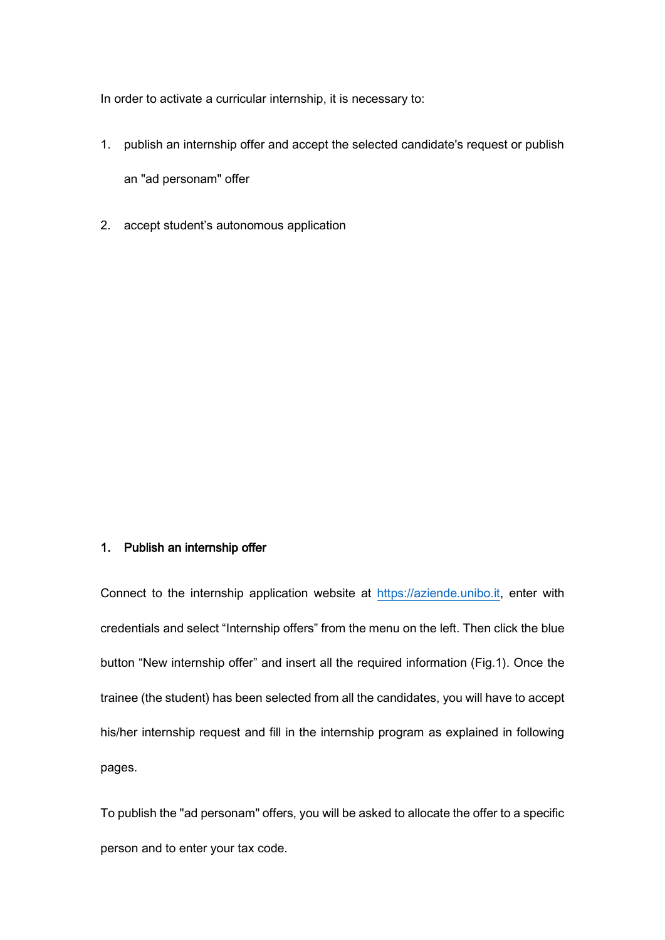In order to activate a curricular internship, it is necessary to:

1. publish an internship offer and accept the selected candidate's request or publish

an "ad personam" offer

2. accept student's autonomous application

### 1. Publish an internship offer

Connect to the internship application website at [https://aziende.unibo.it,](https://aziende.unibo.it/) enter with credentials and select "Internship offers" from the menu on the left. Then click the blue button "New internship offer" and insert all the required information (Fig.1). Once the trainee (the student) has been selected from all the candidates, you will have to accept his/her internship request and fill in the internship program as explained in following pages.

To publish the "ad personam" offers, you will be asked to allocate the offer to a specific person and to enter your tax code.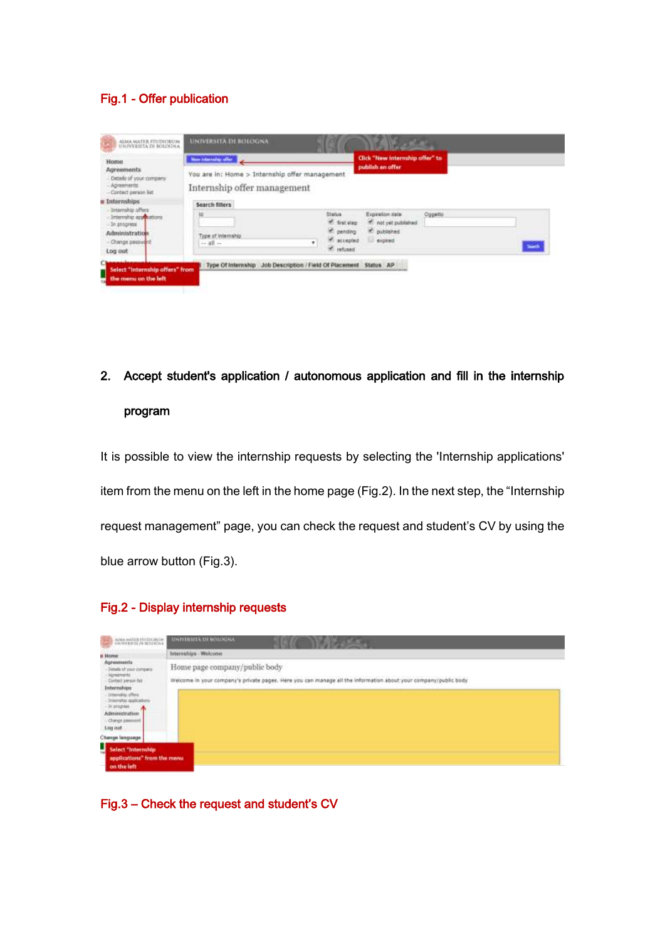## Fig.1 - Offer publication

| <b>Home</b><br>Agreements                                                            | tion international for                                                         | Click "New internship offer" to<br>publish an offer                                                                            |         |  |
|--------------------------------------------------------------------------------------|--------------------------------------------------------------------------------|--------------------------------------------------------------------------------------------------------------------------------|---------|--|
| - Details of your company.<br>- Apreements<br>- Contact person lut                   | You are in: Home > Internship offer management.<br>Internship offer management |                                                                                                                                |         |  |
| a Interrethips                                                                       | Search filters                                                                 |                                                                                                                                |         |  |
| - Internalnia offera<br>- Internahip approxitions<br>- In progress<br>Administration | łé<br>Type of Internatio<br>٠                                                  | <b>Status</b><br>Expiration date<br>ff. first step:<br>* not yet published<br>et gending<br>P. published<br>accepted<br>dopped | Oggetts |  |

2. Accept student's application / autonomous application and fill in the internship program

It is possible to view the internship requests by selecting the 'Internship applications' item from the menu on the left in the home page (Fig.2). In the next step, the "Internship request management" page, you can check the request and student's CV by using the blue arrow button (Fig.3).

### Fig.2 - Display internship requests



Fig.3 – Check the request and student's CV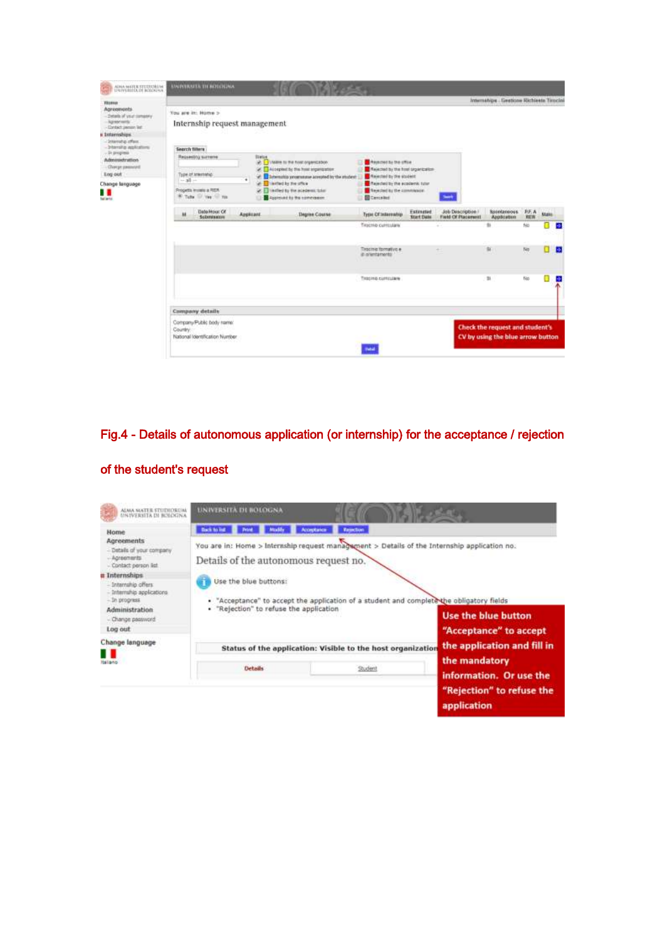| ADMA MATER STUDEORIAL                                                                                                                                                                                                                                                                | <b>UNIVERSITÀ TH' MYEDEDIA</b>                                                                                                    |                                                                                                                                                                                                                                                                    |                                                                                                                                                                                             |                                         |                                                                      |                          |              |    |
|--------------------------------------------------------------------------------------------------------------------------------------------------------------------------------------------------------------------------------------------------------------------------------------|-----------------------------------------------------------------------------------------------------------------------------------|--------------------------------------------------------------------------------------------------------------------------------------------------------------------------------------------------------------------------------------------------------------------|---------------------------------------------------------------------------------------------------------------------------------------------------------------------------------------------|-----------------------------------------|----------------------------------------------------------------------|--------------------------|--------------|----|
| <b>FRIDER</b><br>Agreements<br>Details of your company<br>Apsortants'<br>Contact parson list<br><b>Internships</b><br><b>International Avenue</b><br>- brigologi giberniko<br>. In progress.<br><b>Admittedration</b><br>Charge passworth<br>Eng out<br>hange language<br>٠<br>diano | You are in: Home ><br>Internship request management<br>Search filters                                                             |                                                                                                                                                                                                                                                                    |                                                                                                                                                                                             |                                         | Internation - Gestions Richieste Tirocini                            |                          |              |    |
|                                                                                                                                                                                                                                                                                      | Reporting summer<br><b>In matters</b><br>Type of teterotog-<br>٠<br>$-31 -$<br>Progetta insiete a RISA<br>W. Tutte 10 Ves 11 Year | <b>Sietue</b><br>in 1 Veam to the host organization<br>(a) <sup>2</sup> Accepted by the hold signification<br>Internation programme acrepted by the student<br>at I harted by the office<br>Vertiled by the academic tuber<br><b>Approvant for the commission:</b> | <b>Privactor by the office</b><br>Released by the host signification<br>A resected by the student<br>A Released by the academic tylen<br>Theathail by the commission.<br><b>B</b> Carrisled | ٠                                       |                                                                      |                          |              |    |
|                                                                                                                                                                                                                                                                                      | Data/Hour Of<br><b>Auplicant</b><br>ы<br>Scherausnung                                                                             | <b>Degree Course</b>                                                                                                                                                                                                                                               | Estinated<br>Type Of Internation<br><b>Start Date</b>                                                                                                                                       | Job Description /<br>Fredd Of Placement | <b>Sacebanoous</b><br>Application                                    | <b>BEA</b><br><b>RES</b> | <b>State</b> |    |
|                                                                                                                                                                                                                                                                                      |                                                                                                                                   |                                                                                                                                                                                                                                                                    | Tirocnio curriculare                                                                                                                                                                        |                                         | $\overline{\infty}$                                                  | No                       |              | a. |
|                                                                                                                                                                                                                                                                                      |                                                                                                                                   |                                                                                                                                                                                                                                                                    | Tagciniz formativi: e<br>iti orientamento                                                                                                                                                   | ٠                                       | $\mathbf{u}$                                                         | No                       |              | ø  |
|                                                                                                                                                                                                                                                                                      |                                                                                                                                   |                                                                                                                                                                                                                                                                    | Tracing curriculars                                                                                                                                                                         |                                         | $\mathbb{B}$                                                         | Blo                      |              | P. |
|                                                                                                                                                                                                                                                                                      | Company details                                                                                                                   |                                                                                                                                                                                                                                                                    |                                                                                                                                                                                             |                                         |                                                                      |                          |              |    |
|                                                                                                                                                                                                                                                                                      | Company/Public body name:<br>Country<br>National loantification Number                                                            |                                                                                                                                                                                                                                                                    | Polici                                                                                                                                                                                      |                                         | Check the request and student's<br>CV by using the blue arrow button |                          |              |    |

## Fig.4 - Details of autonomous application (or internship) for the acceptance / rejection



### of the student's request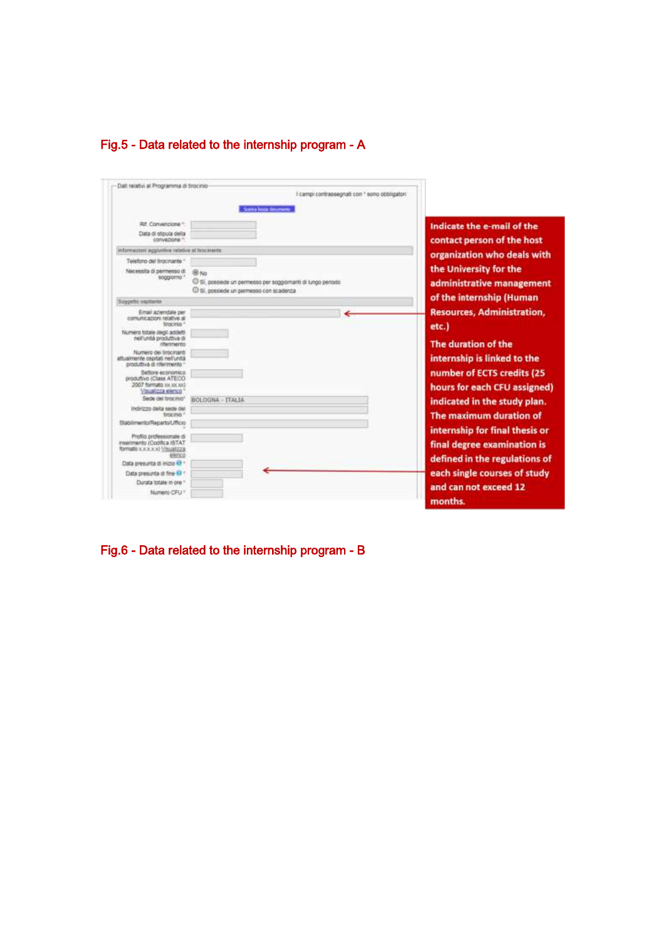

|                                                                                                     | I campi contrassegnati con " sono obbligatori<br><b>Scores house the month</b>                                   |                                                               |
|-----------------------------------------------------------------------------------------------------|------------------------------------------------------------------------------------------------------------------|---------------------------------------------------------------|
| Rif. Convenzione **<br>Data di stipula della<br>convertions."                                       |                                                                                                                  | Indicate the e-mail of the<br>contact person of the host      |
| informazioni aggiuntive islative al listicisaria                                                    |                                                                                                                  |                                                               |
| Telefono del tirocinante "                                                                          |                                                                                                                  | organization who deals with                                   |
| Necessita di permesso di<br>soggiorna ?                                                             | 图 No.<br>C Si, possiede un permesso per soggiornanti di lungo periodo<br>C Si, possiede un permesso con scadenta | the University for the<br>administrative management           |
| <b>Soppetto</b> ospitante                                                                           |                                                                                                                  | of the internship (Human                                      |
| Email aziendale per<br>comunicazioni relative al<br>tirocirio: 1                                    |                                                                                                                  | <b>Resources, Administration,</b><br>etc.)                    |
| Numero totale degli addetti<br>nell'unità produttiva di<br>chemmento                                |                                                                                                                  | The duration of the                                           |
| Nomera dei tirocirumti<br>attualmente cepitati reil'unità<br>produttiva di riferimento "            |                                                                                                                  | internship is linked to the                                   |
| Settore economico<br>produttivo (Class ATECO)<br>2007 formulto sociocida?<br>Visualizza elecco      |                                                                                                                  | number of ECTS credits (25<br>hours for each CFU assigned)    |
| Sede del firocmio*                                                                                  | BOLOGNA - ITALIA                                                                                                 | indicated in the study plan.                                  |
| Indirizzo della sede del<br>firecinio <sup>n</sup>                                                  |                                                                                                                  | The maximum duration of                                       |
| <b>Stabilmento/Reparto/Ufficio</b>                                                                  |                                                                                                                  |                                                               |
| Profilo professionale di<br>inserments (Codifica ISTAT<br>formatic x.x.x.x.x) \\\sualizza<br>elenco |                                                                                                                  | internship for final thesis or<br>final degree examination is |
| Data presunta di mizio @ 1                                                                          |                                                                                                                  | defined in the regulations of                                 |
| Data presunta di fine 43 *                                                                          |                                                                                                                  | each single courses of study                                  |
| Clurata totale in one 1                                                                             |                                                                                                                  | and can not exceed 12                                         |
| Numero CFU *                                                                                        |                                                                                                                  | months.                                                       |

Fig.6 - Data related to the internship program - B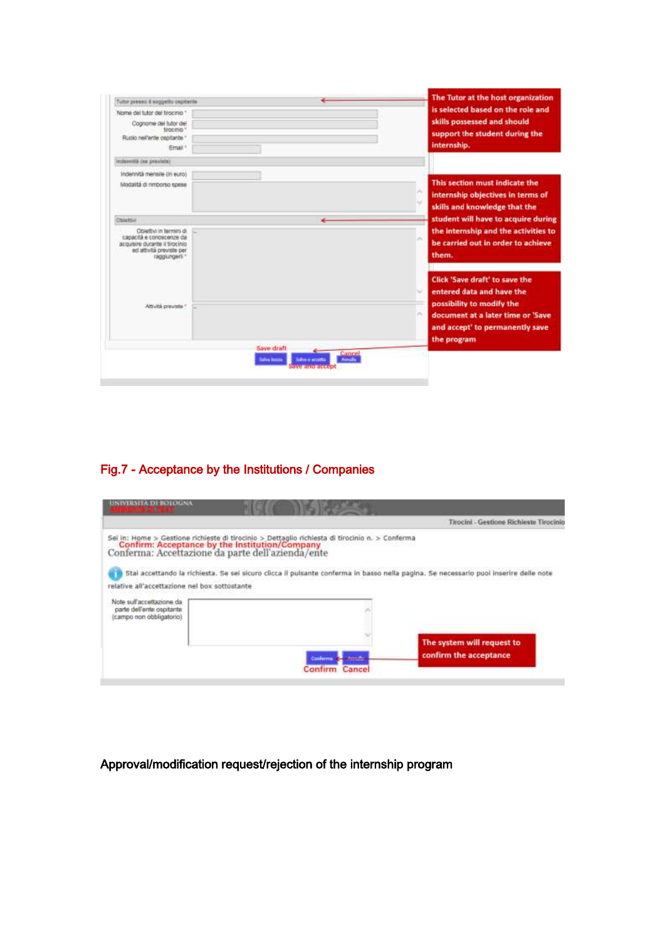|         | The Tutor at the host organization                                                                                |
|---------|-------------------------------------------------------------------------------------------------------------------|
|         | is selected based on the role and<br>skills possessed and should<br>support the student during the<br>internship. |
|         |                                                                                                                   |
|         | This section must indicate the<br>internship objectives in terms of<br>skills and knowledge that the              |
| تناولوا | student will have to acquire during                                                                               |
|         | the internship and the activities to<br>×<br>be carried out in order to achieve<br>them.                          |
|         | Click 'Save draft' to save the<br>entered data and have the<br>$\sim$<br>possibility to modify the                |
|         | ×<br>document at a later time or 'Save<br>and accept' to permanently save                                         |
|         |                                                                                                                   |

# Fig.7 - Acceptance by the Institutions / Companies

|                                                                                                         | Tirocini - Gestione Richieste Tirocinio                                                                                                                                                                                                                                                                                                         |
|---------------------------------------------------------------------------------------------------------|-------------------------------------------------------------------------------------------------------------------------------------------------------------------------------------------------------------------------------------------------------------------------------------------------------------------------------------------------|
| relative all'accettazione nel box sottostante<br>Note sull'accettazione da<br>parte dell'ente ospitante | Sel In: Home > Gestione richieste di tirocinio > Dettaglio richiesta di tirocinio n. > Conferma<br>Confirm: Acceptance by the Institution/Company<br>Conferma: Accettazione da parte dell'azienda/ente<br>Stal accettando la richiesta. Se sei sicuro clicca il pulsante conferma in basso nella pagina. Se necessario puoi inserire delle note |
| (campo non obbligatorio)                                                                                |                                                                                                                                                                                                                                                                                                                                                 |

# Approval/modification request/rejection of the internship program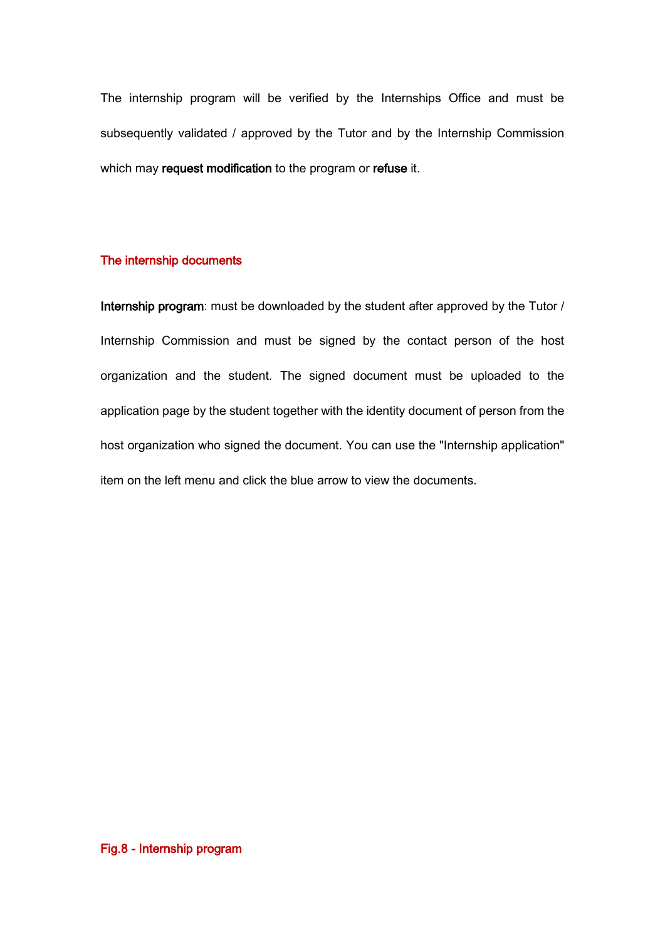The internship program will be verified by the Internships Office and must be subsequently validated / approved by the Tutor and by the Internship Commission which may request modification to the program or refuse it.

#### The internship documents

Internship program: must be downloaded by the student after approved by the Tutor / Internship Commission and must be signed by the contact person of the host organization and the student. The signed document must be uploaded to the application page by the student together with the identity document of person from the host organization who signed the document. You can use the "Internship application" item on the left menu and click the blue arrow to view the documents.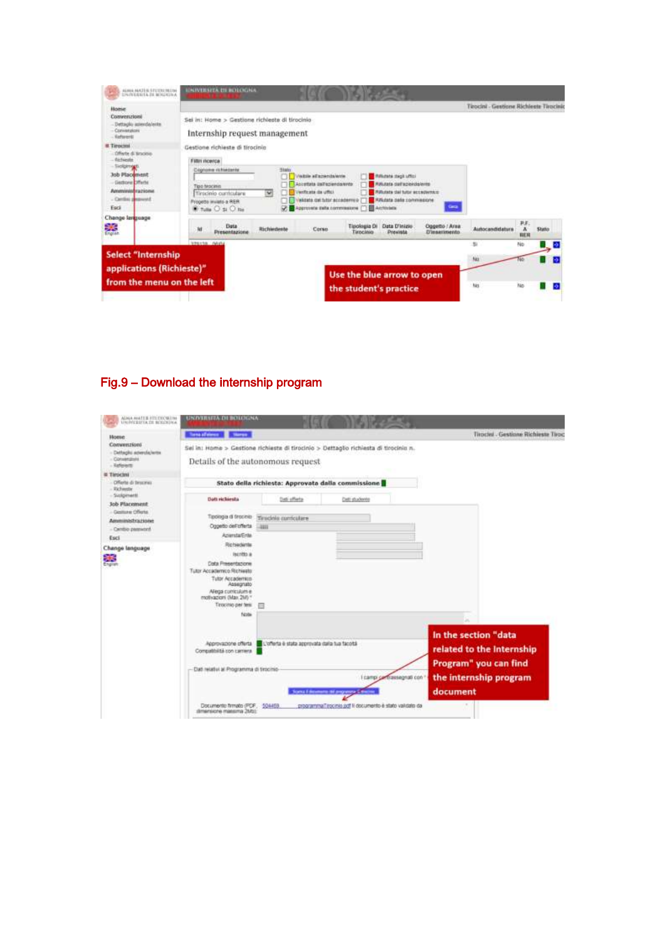| applications (Richieste)"<br>from the menu on the left                                                                                                                                                                                                 | Use the blue arrow to open<br>the student's practice                                                                                                                                                                                                                                                                                                                                                                                   | Nó<br>No                                                                                                                    | No                                     | ъ       |
|--------------------------------------------------------------------------------------------------------------------------------------------------------------------------------------------------------------------------------------------------------|----------------------------------------------------------------------------------------------------------------------------------------------------------------------------------------------------------------------------------------------------------------------------------------------------------------------------------------------------------------------------------------------------------------------------------------|-----------------------------------------------------------------------------------------------------------------------------|----------------------------------------|---------|
| <b>Select "Internship</b>                                                                                                                                                                                                                              | <b>VENTSK GAVA</b>                                                                                                                                                                                                                                                                                                                                                                                                                     | $\mathbb{N}$                                                                                                                | No                                     | e)      |
| Change language<br>鵽                                                                                                                                                                                                                                   | Data<br><b>Tipologia Di</b><br>ħł<br>Richiedente<br>Conus<br>Presentazione<br>Tirocinio                                                                                                                                                                                                                                                                                                                                                | Data D'inizie<br>Oppetto / Area<br><b>Drawista</b><br>D'inserimento                                                         | P.F.<br>A<br>Autocandidatura<br>目前     | Station |
| Conversions<br>Eafwert<br><b>IL Tirocini</b><br>Offerte di tiraciolo<br><b><i><u>Ol-Fueste</u></i></b><br>Sicilgirongs.<br><b>Job Placement</b><br><b>Gettone Offerte</b><br><b><i><u>Approvinced Factional</u></i></b><br>- Cential personnel<br>Esci | Internship request management<br>Gestione richieste di tirocinio<br>Filter recorca:<br>Stato<br>Coptons richietante<br>Vestos al'apanda/evie<br><b>Rifichata dagit Liftici</b><br>Abiertata (IsiTezienda/ente<br>Tipo teacing<br>Venticate da utto:<br>Tinscinio curriculare<br>v<br>widate cal futor accademula (")<br>Propetto inviato a RER.<br><b>B</b> Accountable<br>Approvate pala commessive [1]<br><b>E</b> Tutte O si O list | Rifulata dell'apiciolalerita<br><b>Rifutata dal tutor accademico</b><br><b>Hillstate date commissions</b><br><b>Carried</b> |                                        |         |
| Home<br>Convenzioni<br>Dettaplo apendalents                                                                                                                                                                                                            | Sel in: Home > Gestione richieste di tirocinio                                                                                                                                                                                                                                                                                                                                                                                         |                                                                                                                             | Teocini - Gestione Slichleete Teocinic |         |
| ALANA AAKZEAL STUTTUTALINA<br><b><i>UNIVERSITA IN MOUNTHA</i></b>                                                                                                                                                                                      | <b>UNIVERSITÀ DI BOLOGNA</b>                                                                                                                                                                                                                                                                                                                                                                                                           |                                                                                                                             |                                        |         |

# Fig.9 – Download the internship program

| AIMA MATER FITIDIÇMIIM<br>UNIMERITA DE BOLIGHA                    | <b>UNIVERSITÀ DE BOLOGNA</b>                                                                                                                                                                          |                                                    |                                                                                                       |                            |                                                                                                                  |
|-------------------------------------------------------------------|-------------------------------------------------------------------------------------------------------------------------------------------------------------------------------------------------------|----------------------------------------------------|-------------------------------------------------------------------------------------------------------|----------------------------|------------------------------------------------------------------------------------------------------------------|
| Home                                                              | <b>Tong of energy Started</b>                                                                                                                                                                         |                                                    |                                                                                                       |                            | Tirochu - Gestione Richieste Tiroc                                                                               |
| Convenzioni<br>- Dettapko amerofa/arms<br>Conversions<br>Referent | Sei in: Home > Gestione richiesta di tirocinio > Dettaglio richiesta di tirocinio n.<br>Details of the autonomous request-                                                                            |                                                    |                                                                                                       |                            |                                                                                                                  |
| <b>E Timeani</b><br>Offerte di tirocine:<br>- Richaeda            |                                                                                                                                                                                                       | Stato della richiesta: Approvata dalla commissione |                                                                                                       |                            |                                                                                                                  |
| - Sydgment<br><b>Job Placement</b>                                | Datt rickiesta                                                                                                                                                                                        | Dati offerta                                       | Cutt students                                                                                         |                            |                                                                                                                  |
| Gestione Offerte<br>Ammunadrazione<br>- Centio password           | Teologia di trocinio<br>Oggetto dell'offerta<br><b>Aziensta/Ente</b>                                                                                                                                  | Timdelo curriculare<br><b>JEEFE</b>                |                                                                                                       |                            |                                                                                                                  |
| Esci<br>Change language<br>策<br>English                           | Richiedente<br>liscritto a<br><b>Cota Presentazione</b><br>Tutor Accademico Richiello<br>Tutor Accademico<br>Assegnato<br>Allega curriculum e<br>motivazioni (Max 2M) *<br>Tirocinio per teix<br>Note |                                                    |                                                                                                       |                            |                                                                                                                  |
|                                                                   | Approvazione offerta<br>Compatibilità con camera<br>Dat relativi al Programma di timcinio-<br>Documento firmato (PDF, 504459)<br>dimensione massima 26/51                                             | L'offerta è stata approvata dalla tua facotà       | cance if decements the programme is that<br>programma Tirocinia jadf II documento è stato validato da | I campi contrassegnati con | In the section "data<br>related to the Internship<br>Program" you can find<br>the internship program<br>document |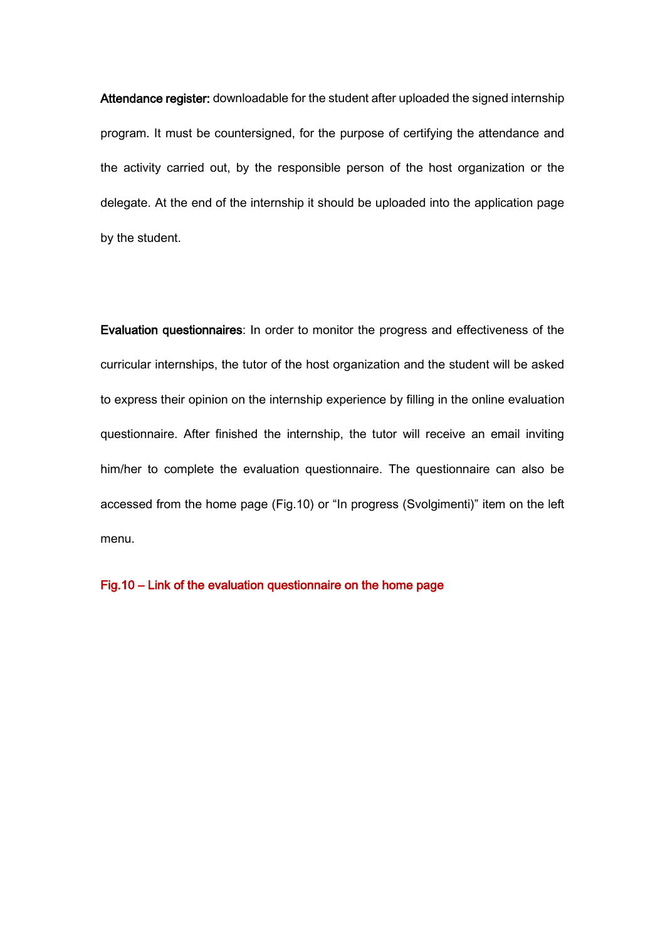Attendance register: downloadable for the student after uploaded the signed internship program. It must be countersigned, for the purpose of certifying the attendance and the activity carried out, by the responsible person of the host organization or the delegate. At the end of the internship it should be uploaded into the application page by the student.

Evaluation questionnaires: In order to monitor the progress and effectiveness of the curricular internships, the tutor of the host organization and the student will be asked to express their opinion on the internship experience by filling in the online evaluation questionnaire. After finished the internship, the tutor will receive an email inviting him/her to complete the evaluation questionnaire. The questionnaire can also be accessed from the home page (Fig.10) or "In progress (Svolgimenti)" item on the left menu.

Fig.10 – Link of the evaluation questionnaire on the home page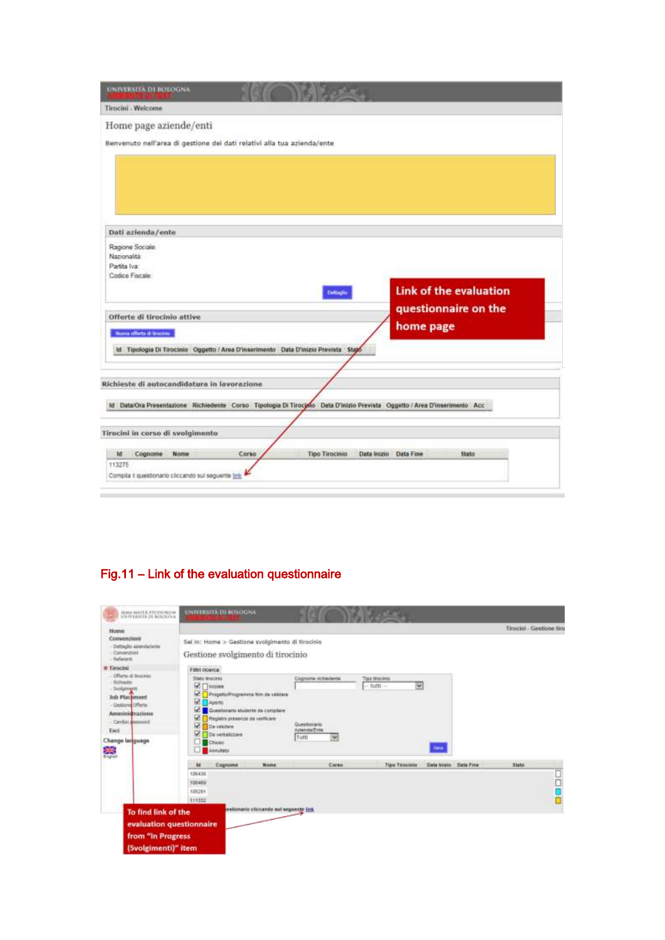| <b>UNIVERSITA DI BOLOGNA</b>                                                        |       |                       |                                                                                                                           |
|-------------------------------------------------------------------------------------|-------|-----------------------|---------------------------------------------------------------------------------------------------------------------------|
| Tirocini - Welcome                                                                  |       |                       |                                                                                                                           |
| Home page aziende/enti                                                              |       |                       |                                                                                                                           |
| Benvenuto nell'area di gestione dei dati relativi alla tua azienda/ente             |       |                       |                                                                                                                           |
|                                                                                     |       |                       |                                                                                                                           |
|                                                                                     |       |                       |                                                                                                                           |
|                                                                                     |       |                       |                                                                                                                           |
|                                                                                     |       |                       |                                                                                                                           |
| Dati azienda/ente                                                                   |       |                       |                                                                                                                           |
| Ragione Sociale                                                                     |       |                       |                                                                                                                           |
| Nazionalità                                                                         |       |                       |                                                                                                                           |
| Partita Iva:                                                                        |       |                       |                                                                                                                           |
| Codice Fiscale                                                                      |       |                       |                                                                                                                           |
|                                                                                     |       | <b>Cuttaglio</b>      | <b>Link of the evaluation</b>                                                                                             |
|                                                                                     |       |                       | questionnaire on the                                                                                                      |
| Offerte di tirocinio attive                                                         |       |                       |                                                                                                                           |
| Nuova afforta di tincine                                                            |       |                       | home page                                                                                                                 |
| Id Tipologia Di Tirocinio Oggetto / Area D'inserimento Data D'inizio Prevista Stato |       |                       |                                                                                                                           |
|                                                                                     |       |                       |                                                                                                                           |
|                                                                                     |       |                       |                                                                                                                           |
| Richieste di autocandidatura in lavorazione                                         |       |                       |                                                                                                                           |
|                                                                                     |       |                       | ld Data/Ora Presentazione Richiedente Corso Tipologia Di Tirocino Data D'inizio Prevista Oggetto / Area D'inserimento Acc |
|                                                                                     |       |                       |                                                                                                                           |
| Tirocini in corso di svolgimento                                                    |       |                       |                                                                                                                           |
|                                                                                     |       |                       |                                                                                                                           |
| Ιd<br>Cognome<br>Nome                                                               | Corso | <b>Tipo Tirocinio</b> | Data Inizio<br>Stato<br>Data Fine                                                                                         |
| 113275                                                                              |       |                       |                                                                                                                           |
| Compila il questionario cliccando sul seguente link                                 |       |                       |                                                                                                                           |

# Fig.11 – Link of the evaluation questionnaire

| Hotne.<br>Convenzioni                                                                                                                                                       |                                                                                                                                                                                                                                                          |                                                                                     |                                      |                        |       | Timcial - Gestione tico |
|-----------------------------------------------------------------------------------------------------------------------------------------------------------------------------|----------------------------------------------------------------------------------------------------------------------------------------------------------------------------------------------------------------------------------------------------------|-------------------------------------------------------------------------------------|--------------------------------------|------------------------|-------|-------------------------|
| Dettaçlılı azenda'ıntır.<br>Convenzioni<br>Dafararit.                                                                                                                       | Sei in: Home > Gestione svolgimento di tirocinio<br>Gestione svolgimento di tirocinio                                                                                                                                                                    |                                                                                     |                                      |                        |       |                         |
| <b>n</b> Tirocini                                                                                                                                                           | Filmi doerca                                                                                                                                                                                                                                             |                                                                                     |                                      |                        |       |                         |
| Offeria al fancisso<br>Richieder<br><b>Syokament</b><br><b>Job Placement</b><br><b>Gestung Offene</b><br>Amministrazione<br>Cardio democrat<br>Esci<br>Change larguage<br>築 | Stato dracinko<br><b>STT</b> Inspire<br>M. Progetta Programma firm de veticare<br>$M \Box$ -parts<br>Questionario studente da compilare<br>м<br>ø<br>Heyatro presenze da verificare<br>國<br><b>Databare</b><br>v<br>De vertakizare<br>Chases<br>Abrutato | Cognome rechapterdal<br><b>STRONOM</b><br>Questionacio<br>Azienda@rde<br>Times<br>ч | Tipo tirocinio<br>V<br>$-1$ utti $-$ | <b>Center</b>          |       |                         |
|                                                                                                                                                                             | $+$<br>Cognome<br>Nome                                                                                                                                                                                                                                   | Corso                                                                               | Tipo Tirocinio                       | Data Instead Data Fine | Stato |                         |
|                                                                                                                                                                             | 106436<br>106488<br>108291<br>111332                                                                                                                                                                                                                     |                                                                                     |                                      |                        |       | oopo                    |
| To find link of the<br>evaluation questionnaire                                                                                                                             | estionario cliccando sul esquente link                                                                                                                                                                                                                   |                                                                                     |                                      |                        |       |                         |